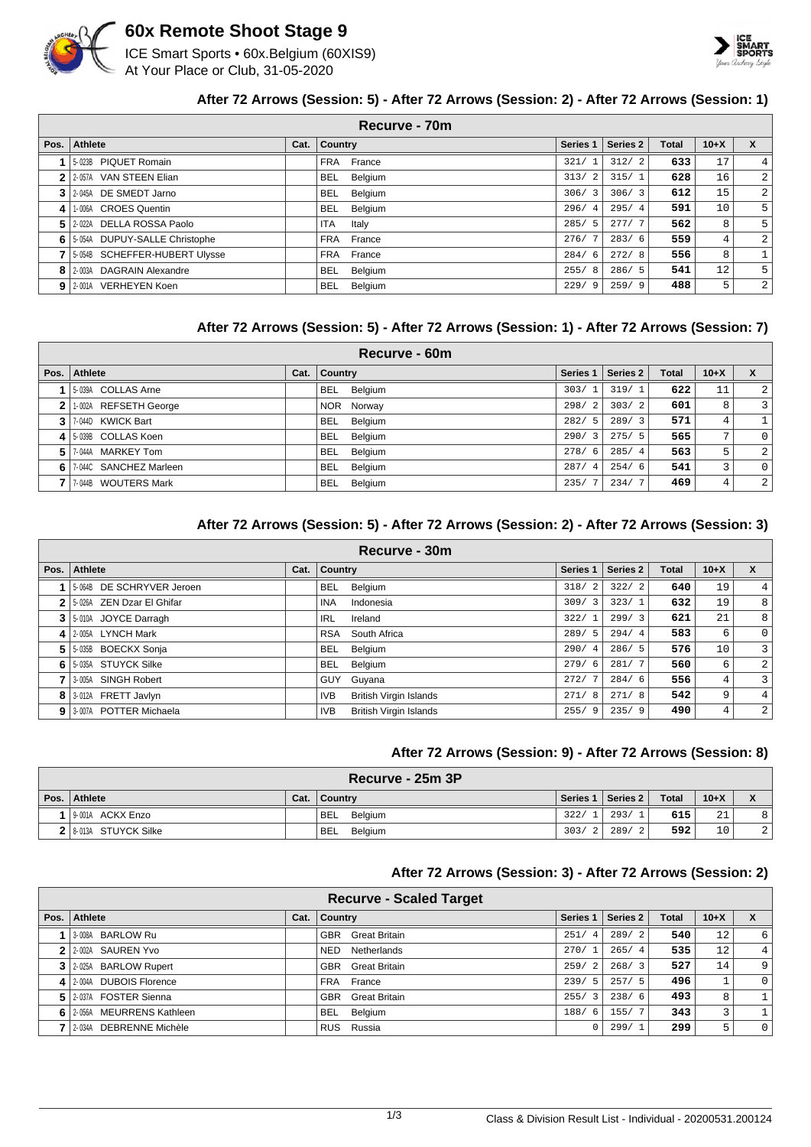

### **60x Remote Shoot Stage 9**

ICE Smart Sports • 60x.Belgium (60XIS9) At Your Place or Club, 31-05-2020



#### **After 72 Arrows (Session: 5) - After 72 Arrows (Session: 2) - After 72 Arrows (Session: 1)**

|              | Recurve - 70m                   |      |                       |                        |          |              |        |                |  |  |  |
|--------------|---------------------------------|------|-----------------------|------------------------|----------|--------------|--------|----------------|--|--|--|
| Pos.         | Athlete                         | Cat. | <b>Country</b>        | Series 1               | Series 2 | <b>Total</b> | $10+X$ | $\mathbf{x}$   |  |  |  |
|              | 5-023B PIQUET Romain            |      | France<br><b>FRA</b>  | 321/                   | 312/2    | 633          | 17     | 4.             |  |  |  |
| $\mathbf{2}$ | 2-057A VAN STEEN Elian          |      | <b>BEL</b><br>Belgium | 313/<br>-2             | 315/1    | 628          | 16     | 2              |  |  |  |
|              | 3 2-045A DE SMEDT Jarno         |      | Belgium<br><b>BEL</b> | 306/3                  | 306/3    | 612          | 15     | $\overline{2}$ |  |  |  |
| 4            | 1-006A CROES Quentin            |      | Belgium<br><b>BEL</b> | 296/<br>$\overline{4}$ | 295/4    | 591          | 10     | 5              |  |  |  |
| 5.           | 2-022A DELLA ROSSA Paolo        |      | ITA<br>Italy          | 285/<br>.5             | 277/7    | 562          | 8      | 5              |  |  |  |
|              | 6 5-054A DUPUY-SALLE Christophe |      | France<br>FRA         | 276/                   | 283/6    | 559          | 4      | $\overline{2}$ |  |  |  |
|              | 5-054B SCHEFFER-HUBERT Ulysse   |      | France<br><b>FRA</b>  | 284/<br>- 6            | 272/8    | 556          | 8      |                |  |  |  |
| 8            | 2-003A DAGRAIN Alexandre        |      | Belgium<br><b>BEL</b> | 255/<br>-8             | 286/5    | 541          | 12     | 5              |  |  |  |
|              | 9 2-001A VERHEYEN Koen          |      | Belgium<br><b>BEL</b> | 229/<br>9              | 259/9    | 488          | 5      | $\overline{2}$ |  |  |  |

#### **After 72 Arrows (Session: 5) - After 72 Arrows (Session: 1) - After 72 Arrows (Session: 7)**

|                | Recurve - 60m          |      |                       |          |          |              |                |                |  |  |
|----------------|------------------------|------|-----------------------|----------|----------|--------------|----------------|----------------|--|--|
| Pos. $\vert$   | <b>Athlete</b>         | Cat. | <b>Country</b>        | Series 1 | Series 2 | <b>Total</b> | $10+X$         | $\mathbf{x}$   |  |  |
|                | 5-039A COLLAS Arne     |      | <b>BEL</b><br>Belgium | 303/1    | 319/1    | 622          | 11             | $\overline{2}$ |  |  |
| 2 <sub>1</sub> | 1-002A REFSETH George  |      | NOR Norway            | 298/2    | 303/2    | 601          | 8              | $\overline{3}$ |  |  |
|                | 3 7-044D KWICK Bart    |      | BEL<br>Belgium        | 282/5    | 289/3    | 571          | 4              | $\mathbf{1}$   |  |  |
|                | 4 5-039B COLLAS Koen   |      | Belgium<br><b>BEL</b> | 290/3    | 275/5    | 565          | 7 <sub>1</sub> | $\overline{0}$ |  |  |
| 51             | 7-044A MARKEY Tom      |      | Belgium<br><b>BEL</b> | 278/6    | 285/4    | 563          | 5              | $\overline{2}$ |  |  |
| 6 I            | 7-044C SANCHEZ Marleen |      | Belgium<br>BEL        | 287/4    | 254/6    | 541          | 3              | $\overline{0}$ |  |  |
|                | 7-044B WOUTERS Mark    |      | Belgium<br><b>BEL</b> | 235/7    | 234/7    | 469          | $\overline{4}$ | $\overline{2}$ |  |  |

#### **After 72 Arrows (Session: 5) - After 72 Arrows (Session: 2) - After 72 Arrows (Session: 3)**

|      | Recurve - 30m               |      |                                             |                        |          |              |        |                |  |  |  |
|------|-----------------------------|------|---------------------------------------------|------------------------|----------|--------------|--------|----------------|--|--|--|
| Pos. | Athlete                     | Cat. | Country                                     | Series <sub>1</sub>    | Series 2 | <b>Total</b> | $10+X$ | X              |  |  |  |
|      | 5-064B DE SCHRYVER Jeroen   |      | <b>BEL</b><br>Belgium                       | 318/<br>$\mathcal{L}$  | 322/2    | 640          | 19     | 4              |  |  |  |
|      | 2 5-026A ZEN Dzar El Ghifar |      | INA<br>Indonesia                            | 309/3                  | 323/1    | 632          | 19     | 8              |  |  |  |
|      | 3 5-010A JOYCE Darragh      |      | IRL<br>Ireland                              | 322/1                  | 299/3    | 621          | 21     | 8              |  |  |  |
|      | 4 2.005A LYNCH Mark         |      | South Africa<br><b>RSA</b>                  | 289/<br>- 5            | 294/4    | 583          | 6      | $\Omega$       |  |  |  |
| 5.   | 5-035B BOECKX Sonja         |      | <b>BEL</b><br>Belgium                       | 290/<br>$\overline{4}$ | 286/5    | 576          | 10     | 3              |  |  |  |
| 6    | 15-035A STUYCK Silke        |      | Belgium<br><b>BEL</b>                       | 279/6                  | 281/7    | 560          | 6      | 2              |  |  |  |
|      | 3-005A SINGH Robert         |      | GUY Guyana                                  | 272/                   | 284/6    | 556          | 4      | 3              |  |  |  |
|      | 8 3-012A FRETT Javlyn       |      | <b>IVB</b><br><b>British Virgin Islands</b> | 271/<br>8              | 271/8    | 542          | 9      | $\overline{4}$ |  |  |  |
|      | 9 3 007A POTTER Michaela    |      | <b>British Virgin Islands</b><br>IVB        | 255/<br>- 9            | 235/9    | 490          | 4      | 2              |  |  |  |

#### **After 72 Arrows (Session: 9) - After 72 Arrows (Session: 8)**

| Recurve - 25m 3P      |      |             |       |                     |              |        |                |  |
|-----------------------|------|-------------|-------|---------------------|--------------|--------|----------------|--|
| Pos. Athlete          | Cat. | ∣ Countrv   |       | Series 1   Series 2 | <b>Total</b> | $10+X$ |                |  |
| II9-001A ACKX Enzo    |      | BEL Belgium | 322/1 | 293/1               | 615          | 21     |                |  |
| 2 8-013A STUYCK Silke |      | BEL Belgium | 303/2 | 289/21              | 592          | 10     | $\overline{2}$ |  |

#### **After 72 Arrows (Session: 3) - After 72 Arrows (Session: 2)**

|                            |      | <b>Recurve - Scaled Target</b> |                        |          |              |                   |                  |
|----------------------------|------|--------------------------------|------------------------|----------|--------------|-------------------|------------------|
| Pos. Athlete               | Cat. | Country                        | Series 1               | Series 2 | <b>Total</b> | $10+X$            | X                |
| 3-008A BARLOW Ru           |      | Great Britain<br><b>GBR</b>    | 251/<br>$\overline{4}$ | 289/2    | 540          | $12 \overline{ }$ | $6 \overline{6}$ |
| 12-002A SAUREN Yvo         |      | Netherlands<br><b>NED</b>      | 270/1                  | 265/4    | 535          | $12 \overline{ }$ | 4 <sup>1</sup>   |
| 3 2-025A BARLOW Rupert     |      | Great Britain<br>GBR           | 259/2                  | 268/3    | 527          | 14                | 9                |
| 4 2-004A DUBOIS Florence   |      | FRA France                     | 239/5                  | 257/5    | 496          |                   | $\circ$          |
| 5 2-037A FOSTER Sienna     |      | <b>GBR</b> Great Britain       | 255/3                  | 238/6    | 493          | 8                 |                  |
| 6 2.056A MEURRENS Kathleen |      | <b>BEL</b><br>Belgium          | 188/6                  | 155/7    | 343          | 3                 |                  |
| 2-034A DEBRENNE Michèle    |      | RUS Russia                     |                        | 299/1    | 299          | 5                 | $\overline{0}$   |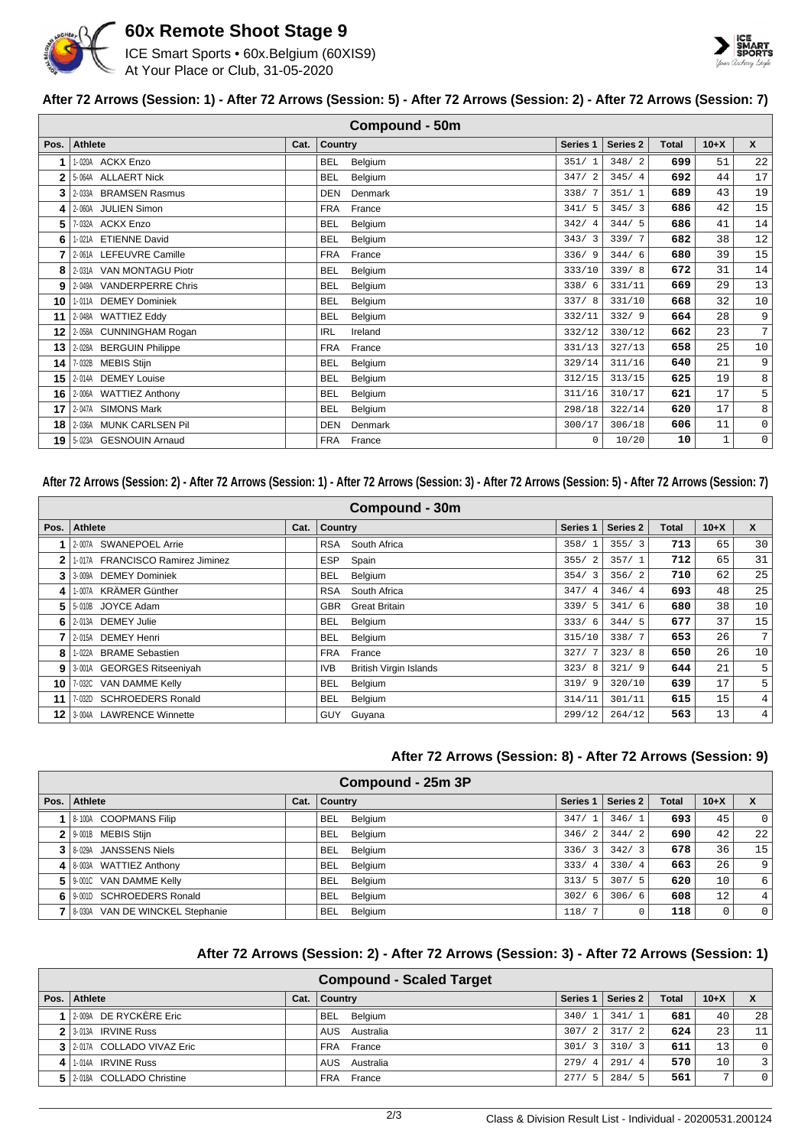

## **60x Remote Shoot Stage 9**

ICE Smart Sports • 60x.Belgium (60XIS9) At Your Place or Club, 31-05-2020



#### **After 72 Arrows (Session: 1) - After 72 Arrows (Session: 5) - After 72 Arrows (Session: 2) - After 72 Arrows (Session: 7)**

|                 |                           |      |                | <b>Compound - 50m</b> |                     |                     |       |             |                 |
|-----------------|---------------------------|------|----------------|-----------------------|---------------------|---------------------|-------|-------------|-----------------|
| Pos.            | Athlete                   | Cat. | <b>Country</b> |                       | Series <sub>1</sub> | Series <sub>2</sub> | Total | $10+X$      | $\mathsf{x}$    |
|                 | 1-020A ACKX Enzo          |      | <b>BEL</b>     | Belgium               | 351/1               | 348/2               | 699   | 51          | 22              |
|                 | 5-064A ALLAERT Nick       |      | <b>BEL</b>     | Belgium               | 347/2               | 345/4               | 692   | 44          | 17              |
| 3               | 2-033A BRAMSEN Rasmus     |      | DEN            | Denmark               | 338/7               | 351/1               | 689   | 43          | 19              |
| 41              | 2-060A JULIEN Simon       |      | <b>FRA</b>     | France                | 341/5               | 345/3               | 686   | 42          | 15              |
| 5.              | 7-032A ACKX Enzo          |      | <b>BEL</b>     | Belgium               | 342/4               | 344/5               | 686   | 41          | 14              |
| 6               | 1-021A ETIENNE David      |      | <b>BEL</b>     | Belgium               | 343/3               | 339/7               | 682   | 38          | 12              |
|                 | 2-061A LEFEUVRE Camille   |      | <b>FRA</b>     | France                | 336/9               | 344/6               | 680   | 39          | 15              |
| 8               | 2-031A VAN MONTAGU Piotr  |      | <b>BEL</b>     | Belgium               | 333/10              | 339/8               | 672   | 31          | 14              |
| 9               | 2-049A VANDERPERRE Chris  |      | <b>BEL</b>     | Belgium               | 338/6               | 331/11              | 669   | 29          | 13              |
| 10              | 1-011A DEMEY Dominiek     |      | <b>BEL</b>     | Belgium               | 337/8               | 331/10              | 668   | 32          | 10              |
| 11              | 2-048A WATTIEZ Eddy       |      | <b>BEL</b>     | Belgium               | 332/11              | 332/9               | 664   | 28          | 9               |
| 12 I            | 2-058A CUNNINGHAM Rogan   |      | <b>IRL</b>     | Ireland               | 332/12              | 330/12              | 662   | 23          | $7\overline{ }$ |
| 13              | 2-028A BERGUIN Philippe   |      | <b>FRA</b>     | France                | 331/13              | 327/13              | 658   | 25          | 10              |
| 14 I            | 7-032B MEBIS Stijn        |      | <b>BEL</b>     | Belgium               | 329/14              | 311/16              | 640   | 21          | 9               |
| 15 <sup>1</sup> | 2-014A DEMEY Louise       |      | <b>BEL</b>     | Belgium               | 312/15              | 313/15              | 625   | 19          | 8               |
| 16              | 2-006A WATTIEZ Anthony    |      | <b>BEL</b>     | Belgium               | 311/16              | 310/17              | 621   | 17          | 5               |
| 17 <sup>1</sup> | 2-047A SIMONS Mark        |      | <b>BEL</b>     | Belgium               | 298/18              | 322/14              | 620   | 17          | 8               |
| 18 I            | 2-036A MUNK CARLSEN Pil   |      | <b>DEN</b>     | Denmark               | 300/17              | 306/18              | 606   | 11          | 0               |
|                 | 19 5-023A GESNOUIN Arnaud |      | <b>FRA</b>     | France                | $\Omega$            | 10/20               | 10    | $\mathbf 1$ | $\mathbf 0$     |

#### **After 72 Arrows (Session: 2) - After 72 Arrows (Session: 1) - After 72 Arrows (Session: 3) - After 72 Arrows (Session: 5) - After 72 Arrows (Session: 7)**

|      | Compound - 30m                   |      |                |                               |                     |          |       |        |              |  |  |
|------|----------------------------------|------|----------------|-------------------------------|---------------------|----------|-------|--------|--------------|--|--|
| Pos. | <b>Athlete</b>                   | Cat. | <b>Country</b> |                               | Series <sub>1</sub> | Series 2 | Total | $10+X$ | $\mathsf{x}$ |  |  |
|      | 2-007A SWANEPOEL Arrie           |      | <b>RSA</b>     | South Africa                  | 358/                | 355/3    | 713   | 65     | 30           |  |  |
| 2    | 1-017A FRANCISCO Ramirez Jiminez |      | <b>ESP</b>     | Spain                         | 355/<br>2           | 357/1    | 712   | 65     | 31           |  |  |
| 3    | 3-009A DEMEY Dominiek            |      | BEL            | Belgium                       | 354/3               | 356/2    | 710   | 62     | 25           |  |  |
| 4    | 1-007A KRÄMER Günther            |      | <b>RSA</b>     | South Africa                  | 347/<br>-4          | 346/4    | 693   | 48     | 25           |  |  |
| 5    | 5-010B JOYCE Adam                |      | <b>GBR</b>     | <b>Great Britain</b>          | 339/5               | 341/6    | 680   | 38     | 10           |  |  |
| 6    | 2-013A DEMEY Julie               |      | <b>BEL</b>     | Belgium                       | 333/6               | 344/5    | 677   | 37     | 15           |  |  |
|      | <b>DEMEY Henri</b><br>2-015A     |      | <b>BEL</b>     | Belgium                       | 315/10              | 338/7    | 653   | 26     | 7            |  |  |
| 8    | 1-022A BRAME Sebastien           |      | <b>FRA</b>     | France                        | 327/7               | 323/8    | 650   | 26     | 10           |  |  |
| 9    | 3-001A GEORGES Ritseeniyah       |      | IVB            | <b>British Virgin Islands</b> | 323/8               | 321/9    | 644   | 21     | 5            |  |  |
| 10   | 7-032C VAN DAMME Kelly           |      | <b>BEL</b>     | Belgium                       | 319/9               | 320/10   | 639   | 17     | 5            |  |  |
| 11   | 7-032D SCHROEDERS Ronald         |      | <b>BEL</b>     | Belgium                       | 314/11              | 301/11   | 615   | 15     | 4            |  |  |
| 12   | 3-004A LAWRENCE Winnette         |      |                | GUY Guyana                    | 299/12              | 264/12   | 563   | 13     | 4            |  |  |

#### **After 72 Arrows (Session: 8) - After 72 Arrows (Session: 9)**

| Compound - 25m 3P                   |      |                       |                        |          |              |                 |          |  |
|-------------------------------------|------|-----------------------|------------------------|----------|--------------|-----------------|----------|--|
| Pos. Athlete                        | Cat. | <b>Country</b>        | Series <sub>1</sub>    | Series 2 | <b>Total</b> | $10+X$          | X        |  |
| 1   8-100A COOPMANS Filip           |      | <b>BEL</b><br>Belgium | 347/                   | 346/1    | 693          | 45              | $\Omega$ |  |
| 2 9-001B MEBIS Stijn                |      | Belgium<br><b>BEL</b> | 346/<br>$\mathfrak{D}$ | 344/2    | 690          | 42              | 2.2      |  |
| 3 8 029A JANSSENS Niels             |      | Belgium<br>BEL        | 336/<br>3              | 342/3    | 678          | 36              | 15       |  |
| 4   8-003A WATTIEZ Anthony          |      | <b>BEL</b><br>Belgium | 333/<br>$\overline{4}$ | 330/4    | 663          | 26              | 9        |  |
| 5   9-001C VAN DAMME Kelly          |      | <b>BEL</b><br>Belgium | 5<br>313/              | 307/5    | 620          | 10              | 6        |  |
| 6 9001 SCHROEDERS Ronald            |      | Belgium<br>BEL        | 302/<br>6              | 306/6    | 608          | 12 <sub>1</sub> | 4        |  |
| 7   8-030A VAN DE WINCKEL Stephanie |      | Belgium<br><b>BEL</b> | 118/                   |          | 118          | 0               | $\Omega$ |  |

#### **After 72 Arrows (Session: 2) - After 72 Arrows (Session: 3) - After 72 Arrows (Session: 1)**

|                            |      | <b>Compound - Scaled Target</b> |                        |          |              |        |             |
|----------------------------|------|---------------------------------|------------------------|----------|--------------|--------|-------------|
| Pos.   Athlete             | Cat. | <b>Country</b>                  | Series <sub>1</sub>    | Series 2 | <b>Total</b> | $10+X$ |             |
| 1 2009A DE RYCKÈRE Eric    |      | BEL<br>Belgium                  | 340/                   | 341/1    | 681          | 40     | 28          |
| 2 3-013A IRVINE Russ       |      | AUS Australia                   | 307/<br>$\overline{2}$ | 317/2    | 624          | 23     | 11          |
| 3 2017A COLLADO VIVAZ Eric |      | FRA France                      | 301/<br>3              | 310/3    | 611          | 13     | $\Omega$    |
| 4 1.014A IRVINE Russ       |      | AUS<br>Australia                | 279/<br>$\overline{4}$ | 291/4    | 570          | 10     | 3           |
| 5 2018 COLLADO Christine   |      | France<br>FRA                   | 277/                   | 284/5    | 561          | Ð      | $\mathbf 0$ |